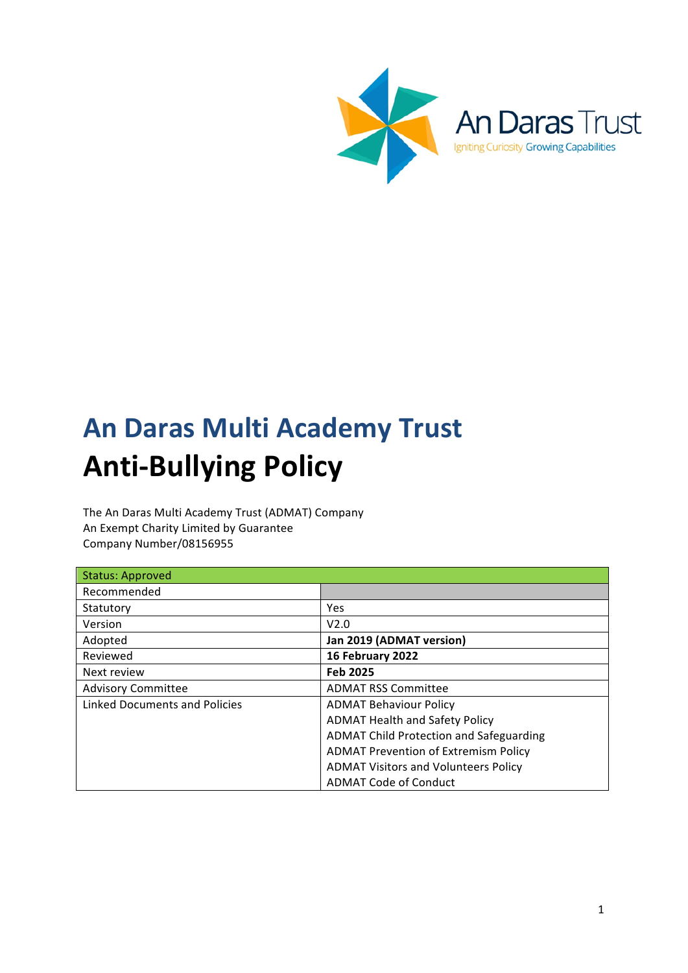

# **An Daras Multi Academy Trust Anti-Bullying Policy**

The An Daras Multi Academy Trust (ADMAT) Company An Exempt Charity Limited by Guarantee Company Number/08156955

| <b>Status: Approved</b>       |                                                |
|-------------------------------|------------------------------------------------|
| Recommended                   |                                                |
| Statutory                     | Yes                                            |
| Version                       | V2.0                                           |
| Adopted                       | Jan 2019 (ADMAT version)                       |
| Reviewed                      | 16 February 2022                               |
| Next review                   | <b>Feb 2025</b>                                |
| <b>Advisory Committee</b>     | <b>ADMAT RSS Committee</b>                     |
| Linked Documents and Policies | <b>ADMAT Behaviour Policy</b>                  |
|                               | <b>ADMAT Health and Safety Policy</b>          |
|                               | <b>ADMAT Child Protection and Safeguarding</b> |
|                               | <b>ADMAT Prevention of Extremism Policy</b>    |
|                               | <b>ADMAT Visitors and Volunteers Policy</b>    |
|                               | <b>ADMAT Code of Conduct</b>                   |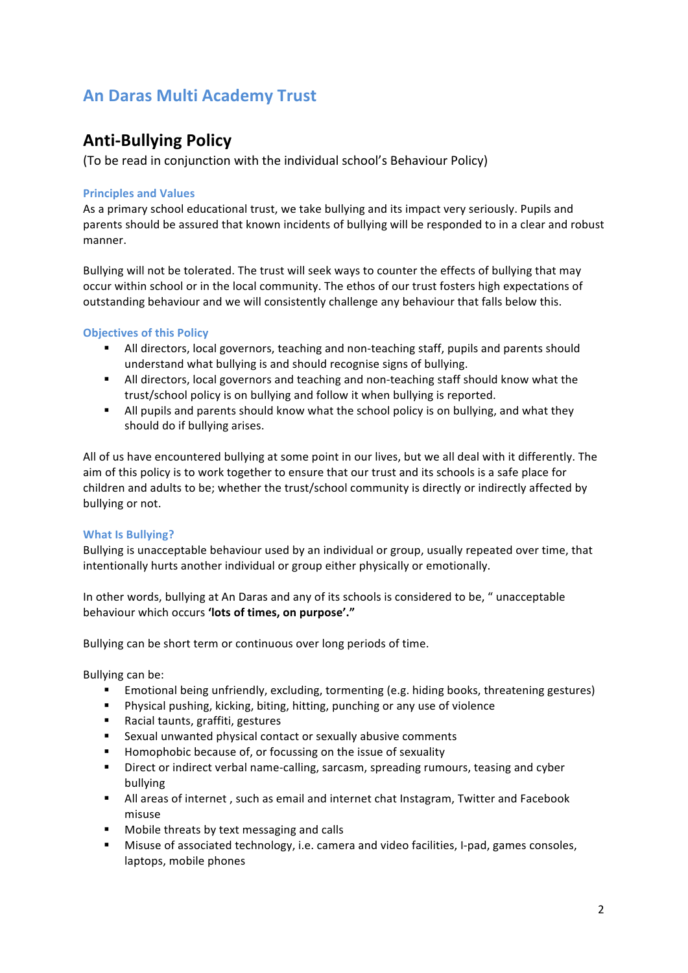## **An Daras Multi Academy Trust**

### **Anti-Bullying Policy**

(To be read in conjunction with the individual school's Behaviour Policy)

#### **Principles and Values**

As a primary school educational trust, we take bullying and its impact very seriously. Pupils and parents should be assured that known incidents of bullying will be responded to in a clear and robust manner.

Bullying will not be tolerated. The trust will seek ways to counter the effects of bullying that may occur within school or in the local community. The ethos of our trust fosters high expectations of outstanding behaviour and we will consistently challenge any behaviour that falls below this.

#### **Objectives of this Policy**

- **E** All directors, local governors, teaching and non-teaching staff, pupils and parents should understand what bullying is and should recognise signs of bullying.
- All directors, local governors and teaching and non-teaching staff should know what the trust/school policy is on bullying and follow it when bullying is reported.
- All pupils and parents should know what the school policy is on bullying, and what they should do if bullying arises.

All of us have encountered bullying at some point in our lives, but we all deal with it differently. The aim of this policy is to work together to ensure that our trust and its schools is a safe place for children and adults to be; whether the trust/school community is directly or indirectly affected by bullying or not.

#### **What Is Bullying?**

Bullying is unacceptable behaviour used by an individual or group, usually repeated over time, that intentionally hurts another individual or group either physically or emotionally.

In other words, bullying at An Daras and any of its schools is considered to be, " unacceptable behaviour which occurs 'lots of times, on purpose'."

Bullying can be short term or continuous over long periods of time.

Bullying can be:

- Emotional being unfriendly, excluding, tormenting (e.g. hiding books, threatening gestures)
- Physical pushing, kicking, biting, hitting, punching or any use of violence
- Racial taunts, graffiti, gestures
- Sexual unwanted physical contact or sexually abusive comments
- Homophobic because of, or focussing on the issue of sexuality
- **•** Direct or indirect verbal name-calling, sarcasm, spreading rumours, teasing and cyber bullying
- **■** All areas of internet, such as email and internet chat Instagram, Twitter and Facebook misuse
- Mobile threats by text messaging and calls
- **■** Misuse of associated technology, i.e. camera and video facilities, I-pad, games consoles, laptops, mobile phones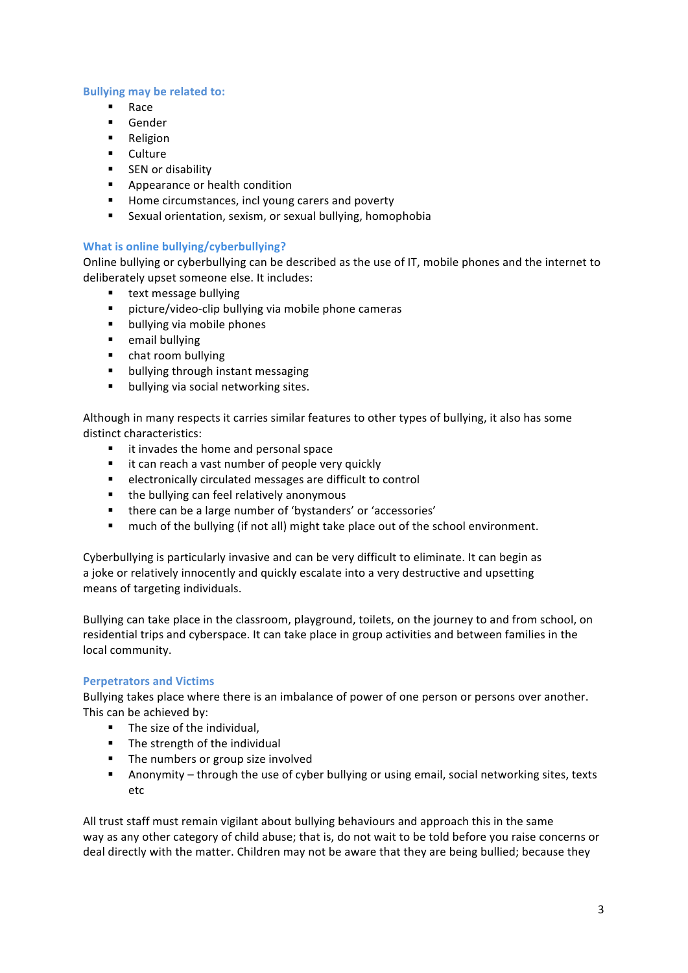#### **Bullying may be related to:**

- § Race
- § Gender
- Religion
- § Culture
- SEN or disability
- Appearance or health condition
- Home circumstances, incl young carers and poverty
- Sexual orientation, sexism, or sexual bullying, homophobia

#### **What is online bullying/cyberbullying?**

Online bullying or cyberbullying can be described as the use of IT, mobile phones and the internet to deliberately upset someone else. It includes:

- text message bullying
- picture/video-clip bullying via mobile phone cameras
- bullying via mobile phones
- email bullying
- chat room bullying
- bullying through instant messaging
- bullying via social networking sites.

Although in many respects it carries similar features to other types of bullying, it also has some distinct characteristics:

- it invades the home and personal space
- $\blacksquare$  it can reach a vast number of people very quickly
- electronically circulated messages are difficult to control
- **■** the bullying can feel relatively anonymous
- there can be a large number of 'bystanders' or 'accessories'
- much of the bullying (if not all) might take place out of the school environment.

Cyberbullying is particularly invasive and can be very difficult to eliminate. It can begin as a joke or relatively innocently and quickly escalate into a very destructive and upsetting means of targeting individuals.

Bullying can take place in the classroom, playground, toilets, on the journey to and from school, on residential trips and cyberspace. It can take place in group activities and between families in the local community.

#### **Perpetrators and Victims**

Bullying takes place where there is an imbalance of power of one person or persons over another. This can be achieved by:

- $\blacksquare$  The size of the individual.
- $\blacksquare$  The strength of the individual
- The numbers or group size involved
- **■** Anonymity through the use of cyber bullying or using email, social networking sites, texts etc

All trust staff must remain vigilant about bullying behaviours and approach this in the same way as any other category of child abuse; that is, do not wait to be told before you raise concerns or deal directly with the matter. Children may not be aware that they are being bullied; because they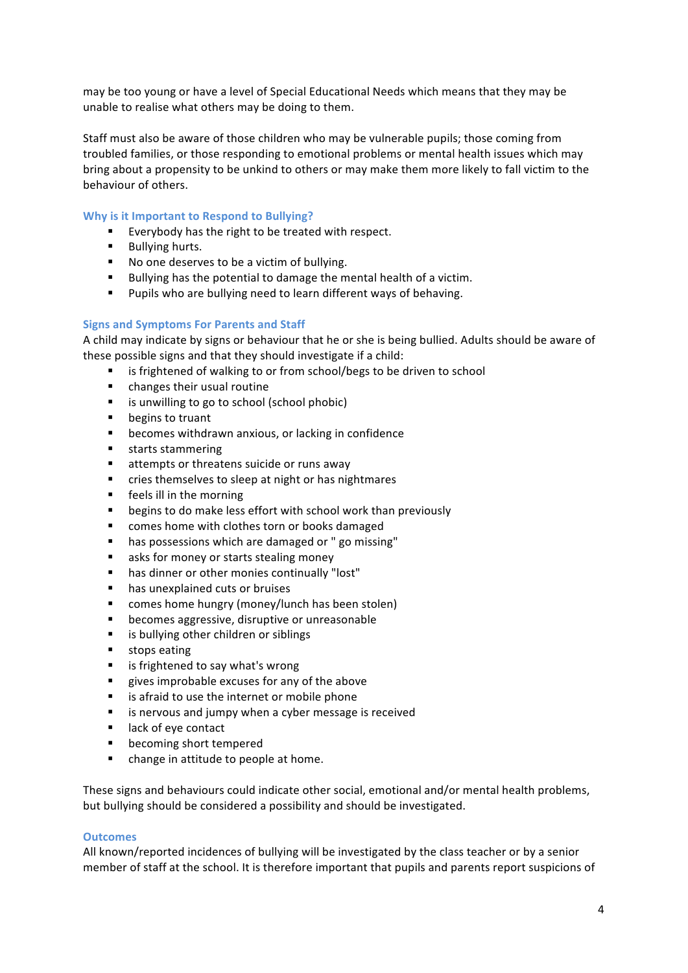may be too young or have a level of Special Educational Needs which means that they may be unable to realise what others may be doing to them.

Staff must also be aware of those children who may be vulnerable pupils; those coming from troubled families, or those responding to emotional problems or mental health issues which may bring about a propensity to be unkind to others or may make them more likely to fall victim to the behaviour of others.

#### **Why is it Important to Respond to Bullying?**

- Everybody has the right to be treated with respect.
- Bullying hurts.
- No one deserves to be a victim of bullying.
- Bullying has the potential to damage the mental health of a victim.
- Pupils who are bullying need to learn different ways of behaving.

#### **Signs and Symptoms For Parents and Staff**

A child may indicate by signs or behaviour that he or she is being bullied. Adults should be aware of these possible signs and that they should investigate if a child:

- is frightened of walking to or from school/begs to be driven to school
- changes their usual routine
- is unwilling to go to school (school phobic)
- begins to truant
- becomes withdrawn anxious, or lacking in confidence
- starts stammering
- attempts or threatens suicide or runs away
- cries themselves to sleep at night or has nightmares
- feels ill in the morning
- begins to do make less effort with school work than previously
- comes home with clothes torn or books damaged
- has possessions which are damaged or " go missing"
- asks for money or starts stealing money
- has dinner or other monies continually "lost"
- has unexplained cuts or bruises
- comes home hungry (money/lunch has been stolen)
- becomes aggressive, disruptive or unreasonable
- is bullying other children or siblings
- stops eating
- is frightened to say what's wrong
- gives improbable excuses for any of the above
- $\blacksquare$  is afraid to use the internet or mobile phone
- is nervous and jumpy when a cyber message is received
- lack of eye contact
- becoming short tempered
- change in attitude to people at home.

These signs and behaviours could indicate other social, emotional and/or mental health problems, but bullying should be considered a possibility and should be investigated.

#### **Outcomes**

All known/reported incidences of bullying will be investigated by the class teacher or by a senior member of staff at the school. It is therefore important that pupils and parents report suspicions of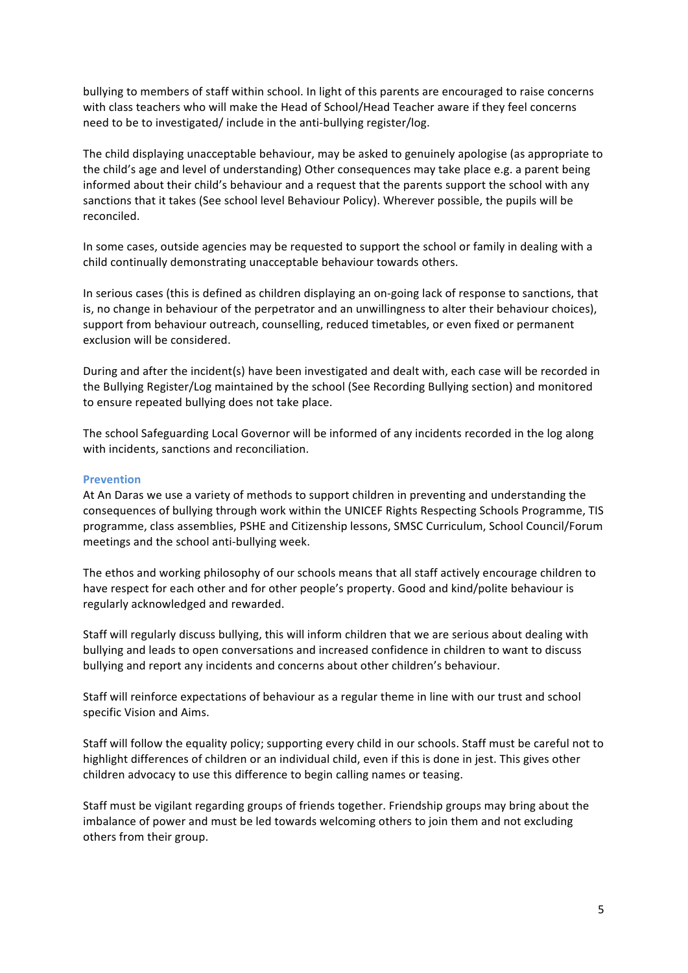bullying to members of staff within school. In light of this parents are encouraged to raise concerns with class teachers who will make the Head of School/Head Teacher aware if they feel concerns need to be to investigated/ include in the anti-bullying register/log.

The child displaying unacceptable behaviour, may be asked to genuinely apologise (as appropriate to the child's age and level of understanding) Other consequences may take place e.g. a parent being informed about their child's behaviour and a request that the parents support the school with any sanctions that it takes (See school level Behaviour Policy). Wherever possible, the pupils will be reconciled.

In some cases, outside agencies may be requested to support the school or family in dealing with a child continually demonstrating unacceptable behaviour towards others.

In serious cases (this is defined as children displaying an on-going lack of response to sanctions, that is, no change in behaviour of the perpetrator and an unwillingness to alter their behaviour choices), support from behaviour outreach, counselling, reduced timetables, or even fixed or permanent exclusion will be considered.

During and after the incident(s) have been investigated and dealt with, each case will be recorded in the Bullying Register/Log maintained by the school (See Recording Bullying section) and monitored to ensure repeated bullying does not take place.

The school Safeguarding Local Governor will be informed of any incidents recorded in the log along with incidents, sanctions and reconciliation.

#### **Prevention**

At An Daras we use a variety of methods to support children in preventing and understanding the consequences of bullying through work within the UNICEF Rights Respecting Schools Programme, TIS programme, class assemblies, PSHE and Citizenship lessons, SMSC Curriculum, School Council/Forum meetings and the school anti-bullying week.

The ethos and working philosophy of our schools means that all staff actively encourage children to have respect for each other and for other people's property. Good and kind/polite behaviour is regularly acknowledged and rewarded.

Staff will regularly discuss bullying, this will inform children that we are serious about dealing with bullying and leads to open conversations and increased confidence in children to want to discuss bullying and report any incidents and concerns about other children's behaviour.

Staff will reinforce expectations of behaviour as a regular theme in line with our trust and school specific Vision and Aims.

Staff will follow the equality policy; supporting every child in our schools. Staff must be careful not to highlight differences of children or an individual child, even if this is done in jest. This gives other children advocacy to use this difference to begin calling names or teasing.

Staff must be vigilant regarding groups of friends together. Friendship groups may bring about the imbalance of power and must be led towards welcoming others to join them and not excluding others from their group.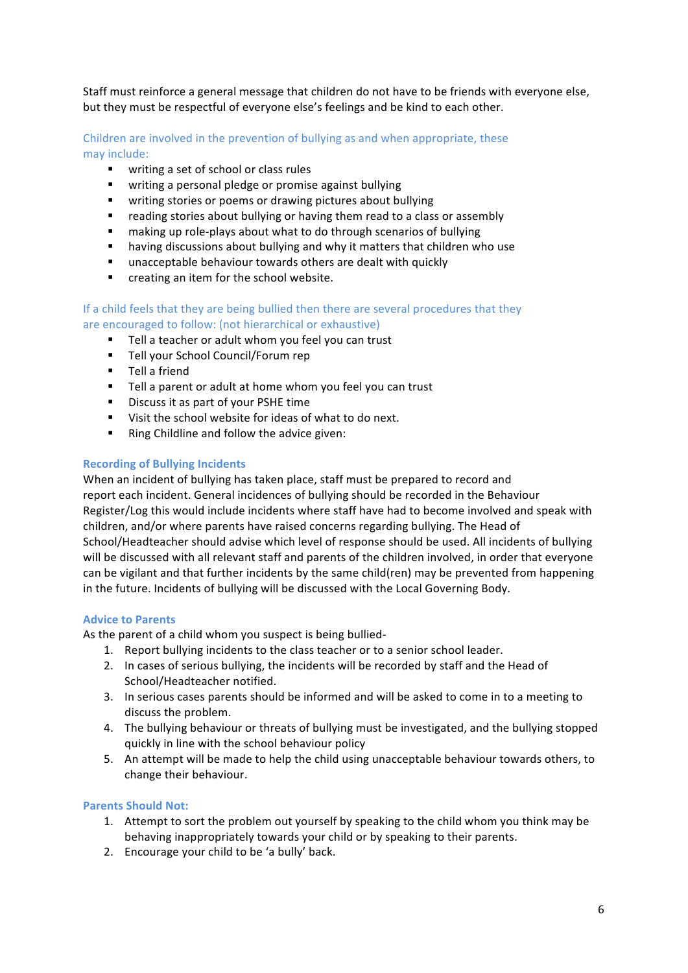Staff must reinforce a general message that children do not have to be friends with everyone else, but they must be respectful of everyone else's feelings and be kind to each other.

Children are involved in the prevention of bullying as and when appropriate, these may include:

- writing a set of school or class rules
- writing a personal pledge or promise against bullying
- writing stories or poems or drawing pictures about bullying
- reading stories about bullying or having them read to a class or assembly
- **E** making up role-plays about what to do through scenarios of bullying
- having discussions about bullying and why it matters that children who use
- unacceptable behaviour towards others are dealt with quickly
- creating an item for the school website.

#### If a child feels that they are being bullied then there are several procedures that they are encouraged to follow: (not hierarchical or exhaustive)

- Tell a teacher or adult whom you feel you can trust
- Tell your School Council/Forum rep
- Tell a friend
- Tell a parent or adult at home whom you feel you can trust
- Discuss it as part of your PSHE time
- Visit the school website for ideas of what to do next.
- Ring Childline and follow the advice given:

#### **Recording of Bullying Incidents**

When an incident of bullying has taken place, staff must be prepared to record and report each incident. General incidences of bullying should be recorded in the Behaviour Register/Log this would include incidents where staff have had to become involved and speak with children, and/or where parents have raised concerns regarding bullying. The Head of School/Headteacher should advise which level of response should be used. All incidents of bullying will be discussed with all relevant staff and parents of the children involved, in order that everyone can be vigilant and that further incidents by the same child(ren) may be prevented from happening in the future. Incidents of bullying will be discussed with the Local Governing Body.

#### **Advice to Parents**

As the parent of a child whom you suspect is being bullied-

- 1. Report bullying incidents to the class teacher or to a senior school leader.
- 2. In cases of serious bullying, the incidents will be recorded by staff and the Head of School/Headteacher notified.
- 3. In serious cases parents should be informed and will be asked to come in to a meeting to discuss the problem.
- 4. The bullying behaviour or threats of bullying must be investigated, and the bullying stopped quickly in line with the school behaviour policy
- 5. An attempt will be made to help the child using unacceptable behaviour towards others, to change their behaviour.

#### **Parents Should Not:**

- 1. Attempt to sort the problem out yourself by speaking to the child whom you think may be behaving inappropriately towards your child or by speaking to their parents.
- 2. Encourage your child to be 'a bully' back.